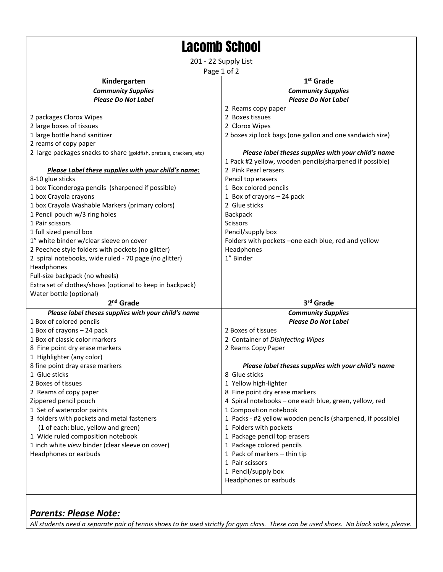| <b>Lacomb School</b>                                        |  |
|-------------------------------------------------------------|--|
| 201 - 22 Supply List<br>Page 1 of 2                         |  |
|                                                             |  |
| <b>Community Supplies</b>                                   |  |
| <b>Please Do Not Label</b>                                  |  |
| 2 Reams copy paper                                          |  |
| 2 Boxes tissues                                             |  |
| 2 Clorox Wipes                                              |  |
| 2 boxes zip lock bags (one gallon and one sandwich size)    |  |
|                                                             |  |
| Please label theses supplies with your child's name         |  |
| 1 Pack #2 yellow, wooden pencils(sharpened if possible)     |  |
| 2 Pink Pearl erasers                                        |  |
| Pencil top erasers                                          |  |
| 1 Box colored pencils                                       |  |
| 1 Box of crayons - 24 pack                                  |  |
| 2 Glue sticks                                               |  |
| Backpack                                                    |  |
| <b>Scissors</b>                                             |  |
| Pencil/supply box                                           |  |
| Folders with pockets -one each blue, red and yellow         |  |
| Headphones                                                  |  |
| 1" Binder                                                   |  |
|                                                             |  |
|                                                             |  |
|                                                             |  |
|                                                             |  |
| 3rd Grade                                                   |  |
| <b>Community Supplies</b>                                   |  |
| <b>Please Do Not Label</b>                                  |  |
| 2 Boxes of tissues                                          |  |
| 2 Container of Disinfecting Wipes                           |  |
| 2 Reams Copy Paper                                          |  |
|                                                             |  |
| Please label theses supplies with your child's name         |  |
| 8 Glue sticks                                               |  |
| 1 Yellow high-lighter                                       |  |
| 8 Fine point dry erase markers                              |  |
| 4 Spiral notebooks - one each blue, green, yellow, red      |  |
| 1 Composition notebook                                      |  |
| 1 Packs - #2 yellow wooden pencils (sharpened, if possible) |  |
| 1 Folders with pockets                                      |  |
| 1 Package pencil top erasers                                |  |
|                                                             |  |
| 1 Package colored pencils                                   |  |
| 1 Pack of markers - thin tip                                |  |
| 1 Pair scissors                                             |  |
| 1 Pencil/supply box                                         |  |
|                                                             |  |

## *Parents: Please Note:*

*All students need a separate pair of tennis shoes to be used strictly for gym class. These can be used shoes. No black soles, please.*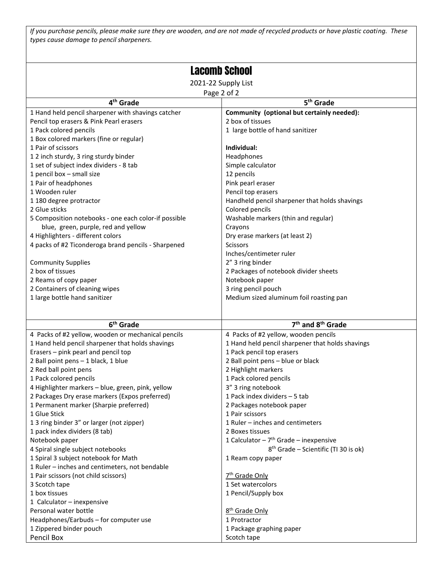*If you purchase pencils, please make sure they are wooden, and are not made of recycled products or have plastic coating. These types cause damage to pencil sharpeners.*

| <b>Lacomb School</b>                                 |                                                  |  |
|------------------------------------------------------|--------------------------------------------------|--|
|                                                      |                                                  |  |
| 2021-22 Supply List                                  |                                                  |  |
| Page 2 of 2                                          |                                                  |  |
| 4 <sup>th</sup> Grade                                | 5 <sup>th</sup> Grade                            |  |
| 1 Hand held pencil sharpener with shavings catcher   | Community (optional but certainly needed):       |  |
| Pencil top erasers & Pink Pearl erasers              | 2 box of tissues                                 |  |
| 1 Pack colored pencils                               | 1 large bottle of hand sanitizer                 |  |
| 1 Box colored markers (fine or regular)              |                                                  |  |
| 1 Pair of scissors                                   | Individual:                                      |  |
| 12 inch sturdy, 3 ring sturdy binder                 | Headphones                                       |  |
| 1 set of subject index dividers - 8 tab              | Simple calculator                                |  |
| 1 pencil box - small size                            | 12 pencils                                       |  |
| 1 Pair of headphones                                 | Pink pearl eraser                                |  |
| 1 Wooden ruler                                       | Pencil top erasers                               |  |
| 1 180 degree protractor                              | Handheld pencil sharpener that holds shavings    |  |
| 2 Glue sticks                                        | Colored pencils                                  |  |
| 5 Composition notebooks - one each color-if possible | Washable markers (thin and regular)              |  |
| blue, green, purple, red and yellow                  | Crayons                                          |  |
| 4 Highlighters - different colors                    | Dry erase markers (at least 2)                   |  |
| 4 packs of #2 Ticonderoga brand pencils - Sharpened  | <b>Scissors</b>                                  |  |
|                                                      | Inches/centimeter ruler                          |  |
| <b>Community Supplies</b>                            | 2" 3 ring binder                                 |  |
| 2 box of tissues                                     | 2 Packages of notebook divider sheets            |  |
| 2 Reams of copy paper                                | Notebook paper                                   |  |
| 2 Containers of cleaning wipes                       | 3 ring pencil pouch                              |  |
| 1 large bottle hand sanitizer                        | Medium sized aluminum foil roasting pan          |  |
|                                                      |                                                  |  |
| 6 <sup>th</sup> Grade                                | 7 <sup>th</sup> and 8 <sup>th</sup> Grade        |  |
| 4 Packs of #2 yellow, wooden or mechanical pencils   | 4 Packs of #2 yellow, wooden pencils             |  |
| 1 Hand held pencil sharpener that holds shavings     | 1 Hand held pencil sharpener that holds shavings |  |
| Erasers - pink pearl and pencil top                  | 1 Pack pencil top erasers                        |  |
| 2 Ball point pens - 1 black, 1 blue                  | 2 Ball point pens - blue or black                |  |
| 2 Red ball point pens                                | 2 Highlight markers                              |  |
| 1 Pack colored pencils                               | 1 Pack colored pencils                           |  |
| 4 Highlighter markers - blue, green, pink, yellow    | 3" 3 ring notebook                               |  |
| 2 Packages Dry erase markers (Expos preferred)       | 1 Pack index dividers - 5 tab                    |  |
| 1 Permanent marker (Sharpie preferred)               | 2 Packages notebook paper                        |  |
| 1 Glue Stick                                         | 1 Pair scissors                                  |  |
| 13 ring binder 3" or larger (not zipper)             | 1 Ruler - inches and centimeters                 |  |
| 1 pack index dividers (8 tab)                        | 2 Boxes tissues                                  |  |
| Notebook paper                                       | 1 Calculator - $7th$ Grade - inexpensive         |  |
| 4 Spiral single subject notebooks                    | 8 <sup>th</sup> Grade - Scientific (TI 30 is ok) |  |
| 1 Spiral 3 subject notebook for Math                 | 1 Ream copy paper                                |  |
| 1 Ruler - inches and centimeters, not bendable       |                                                  |  |
| 1 Pair scissors (not child scissors)                 | 7 <sup>th</sup> Grade Only                       |  |
| 3 Scotch tape                                        | 1 Set watercolors                                |  |
| 1 box tissues                                        | 1 Pencil/Supply box                              |  |
| 1 Calculator - inexpensive                           |                                                  |  |
| Personal water bottle                                | 8 <sup>th</sup> Grade Only                       |  |
| Headphones/Earbuds - for computer use                | 1 Protractor                                     |  |
| 1 Zippered binder pouch                              | 1 Package graphing paper                         |  |
| Pencil Box                                           | Scotch tape                                      |  |
|                                                      |                                                  |  |